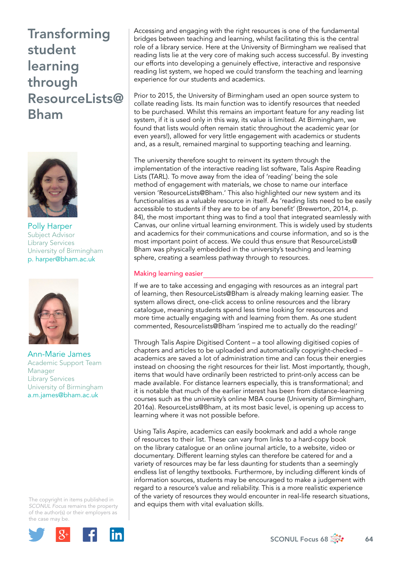

Polly Harper Subject Advisor Library Services University of Birmingham [p. harper@bham.ac.uk](mailto:p.harper@bham.ac.uk)



Ann-Marie James Academic Support Team Manager Library Services University of Birmingham [a.m.james@bham.ac.uk](mailto:a.m.james@bham.ac.uk) 

The copyright in items published in *SCONUL Focus* remains the property of the author(s) or their employers as the case may be.



Accessing and engaging with the right resources is one of the fundamental bridges between teaching and learning, whilst facilitating this is the central role of a library service. Here at the University of Birmingham we realised that reading lists lie at the very core of making such access successful. By investing our efforts into developing a genuinely effective, interactive and responsive reading list system, we hoped we could transform the teaching and learning experience for our students and academics.

Prior to 2015, the University of Birmingham used an open source system to collate reading lists. Its main function was to identify resources that needed to be purchased. Whilst this remains an important feature for any reading list system, if it is used only in this way, its value is limited. At Birmingham, we found that lists would often remain static throughout the academic year (or even years!), allowed for very little engagement with academics or students and, as a result, remained marginal to supporting teaching and learning.

The university therefore sought to reinvent its system through the implementation of the interactive reading list software, Talis Aspire Reading Lists (TARL). To move away from the idea of 'reading' being the sole method of engagement with materials, we chose to name our interface version 'ResourceLists@Bham.' This also highlighted our new system and its functionalities as a valuable resource in itself. As 'reading lists need to be easily accessible to students if they are to be of any benefit' (Brewerton, 2014, p. 84), the most important thing was to find a tool that integrated seamlessly with Canvas, our online virtual learning environment. This is widely used by students and academics for their communications and course information, and so is the most important point of access. We could thus ensure that ResourceLists@ Bham was physically embedded in the university's teaching and learning sphere, creating a seamless pathway through to resources.

#### Making learning easier

If we are to take accessing and engaging with resources as an integral part of learning, then ResourceLists@Bham is already making learning easier. The system allows direct, one-click access to online resources and the library catalogue, meaning students spend less time looking for resources and more time actually engaging with and learning from them. As one student commented, Resourcelists@Bham 'inspired me to actually do the reading!'

Through Talis Aspire Digitised Content – a tool allowing digitised copies of chapters and articles to be uploaded and automatically copyright-checked – academics are saved a lot of administration time and can focus their energies instead on choosing the right resources for their list. Most importantly, though, items that would have ordinarily been restricted to print-only access can be made available. For distance learners especially, this is transformational; and it is notable that much of the earlier interest has been from distance-learning courses such as the university's online MBA course (University of Birmingham, 2016a). ResourceLists@Bham, at its most basic level, is opening up access to learning where it was not possible before.

Using Talis Aspire, academics can easily bookmark and add a whole range of resources to their list. These can vary from links to a hard-copy book on the library catalogue or an online journal article, to a website, video or documentary. Different learning styles can therefore be catered for and a variety of resources may be far less daunting for students than a seemingly endless list of lengthy textbooks. Furthermore, by including different kinds of information sources, students may be encouraged to make a judgement with regard to a resource's value and reliability. This is a more realistic experience of the variety of resources they would encounter in real-life research situations, and equips them with vital evaluation skills.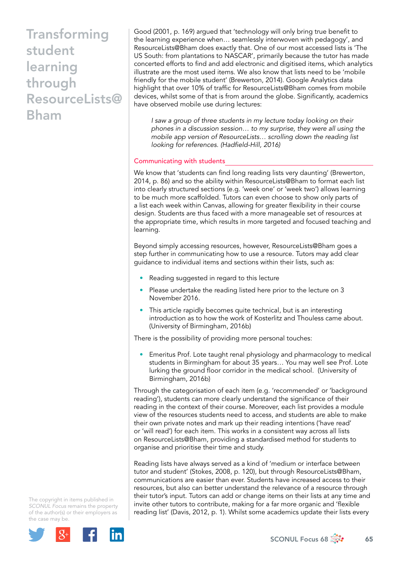Good (2001, p. 169) argued that 'technology will only bring true benefit to the learning experience when… seamlessly interwoven with pedagogy', and ResourceLists@Bham does exactly that. One of our most accessed lists is 'The US South: from plantations to NASCAR', primarily because the tutor has made concerted efforts to find and add electronic and digitised items, which analytics illustrate are the most used items. We also know that lists need to be 'mobile friendly for the mobile student' (Brewerton, 2014). Google Analytics data highlight that over 10% of traffic for ResourceLists@Bham comes from mobile devices, whilst some of that is from around the globe. Significantly, academics have observed mobile use during lectures:

*I saw a group of three students in my lecture today looking on their phones in a discussion session… to my surprise, they were all using the mobile app version of ResourceLists… scrolling down the reading list looking for references. (Hadfield-Hill, 2016)*

#### Communicating with students

We know that 'students can find long reading lists very daunting' (Brewerton, 2014, p. 86) and so the ability within ResourceLists@Bham to format each list into clearly structured sections (e.g. 'week one' or 'week two') allows learning to be much more scaffolded. Tutors can even choose to show only parts of a list each week within Canvas, allowing for greater flexibility in their course design. Students are thus faced with a more manageable set of resources at the appropriate time, which results in more targeted and focused teaching and learning.

Beyond simply accessing resources, however, ResourceLists@Bham goes a step further in communicating how to use a resource. Tutors may add clear guidance to individual items and sections within their lists, such as:

- Reading suggested in regard to this lecture
- Please undertake the reading listed here prior to the lecture on 3 November 2016.
- This article rapidly becomes quite technical, but is an interesting introduction as to how the work of Kosterlitz and Thouless came about. (University of Birmingham, 2016b)

There is the possibility of providing more personal touches:

• Emeritus Prof. Lote taught renal physiology and pharmacology to medical students in Birmingham for about 35 years… You may well see Prof. Lote lurking the ground floor corridor in the medical school. (University of Birmingham, 2016b)

Through the categorisation of each item (e.g. 'recommended' or 'background reading'), students can more clearly understand the significance of their reading in the context of their course. Moreover, each list provides a module view of the resources students need to access, and students are able to make their own private notes and mark up their reading intentions ('have read' or 'will read') for each item. This works in a consistent way across all lists on ResourceLists@Bham, providing a standardised method for students to organise and prioritise their time and study.

Reading lists have always served as a kind of 'medium or interface between tutor and student' (Stokes, 2008, p. 120), but through ResourceLists@Bham, communications are easier than ever. Students have increased access to their resources, but also can better understand the relevance of a resource through their tutor's input. Tutors can add or change items on their lists at any time and invite other tutors to contribute, making for a far more organic and 'flexible reading list' (Davis, 2012, p. 1). Whilst some academics update their lists every

The copyright in items published in *SCONUL Focus* remains the property of the author(s) or their employers as the case may be.

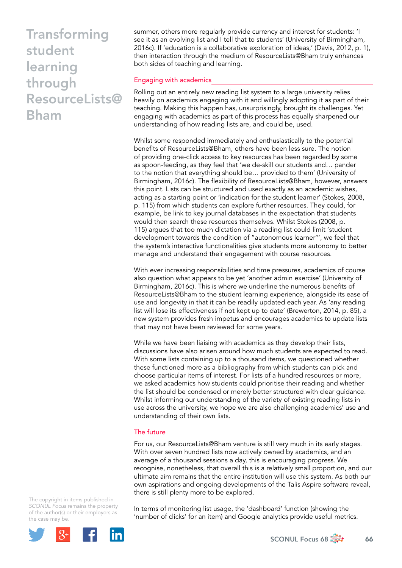summer, others more regularly provide currency and interest for students: 'I see it as an evolving list and I tell that to students' (University of Birmingham, 2016c). If 'education is a collaborative exploration of ideas,' (Davis, 2012, p. 1), then interaction through the medium of ResourceLists@Bham truly enhances both sides of teaching and learning.

#### Engaging with academics

Rolling out an entirely new reading list system to a large university relies heavily on academics engaging with it and willingly adopting it as part of their teaching. Making this happen has, unsurprisingly, brought its challenges. Yet engaging with academics as part of this process has equally sharpened our understanding of how reading lists are, and could be, used.

Whilst some responded immediately and enthusiastically to the potential benefits of ResourceLists@Bham, others have been less sure. The notion of providing one-click access to key resources has been regarded by some as spoon-feeding, as they feel that 'we de-skill our students and… pander to the notion that everything should be… provided to them' (University of Birmingham, 2016c). The flexibility of ResourceLists@Bham, however, answers this point. Lists can be structured and used exactly as an academic wishes, acting as a starting point or 'indication for the student learner' (Stokes, 2008, p. 115) from which students can explore further resources. They could, for example, be link to key journal databases in the expectation that students would then search these resources themselves. Whilst Stokes (2008, p. 115) argues that too much dictation via a reading list could limit 'student development towards the condition of "autonomous learner''', we feel that the system's interactive functionalities give students more autonomy to better manage and understand their engagement with course resources.

With ever increasing responsibilities and time pressures, academics of course also question what appears to be yet 'another admin exercise' (University of Birmingham, 2016c). This is where we underline the numerous benefits of ResourceLists@Bham to the student learning experience, alongside its ease of use and longevity in that it can be readily updated each year. As 'any reading list will lose its effectiveness if not kept up to date' (Brewerton, 2014, p. 85), a new system provides fresh impetus and encourages academics to update lists that may not have been reviewed for some years.

While we have been liaising with academics as they develop their lists, discussions have also arisen around how much students are expected to read. With some lists containing up to a thousand items, we questioned whether these functioned more as a bibliography from which students can pick and choose particular items of interest. For lists of a hundred resources or more, we asked academics how students could prioritise their reading and whether the list should be condensed or merely better structured with clear guidance. Whilst informing our understanding of the variety of existing reading lists in use across the university, we hope we are also challenging academics' use and understanding of their own lists.

### The future

For us, our ResourceLists@Bham venture is still very much in its early stages. With over seven hundred lists now actively owned by academics, and an average of a thousand sessions a day, this is encouraging progress. We recognise, nonetheless, that overall this is a relatively small proportion, and our ultimate aim remains that the entire institution will use this system. As both our own aspirations and ongoing developments of the Talis Aspire software reveal, there is still plenty more to be explored.

The copyright in items published in *SCONUL Focus* remains the property of the author(s) or their employers as the case may be.



In terms of monitoring list usage, the 'dashboard' function (showing the 'number of clicks' for an item) and Google analytics provide useful metrics.